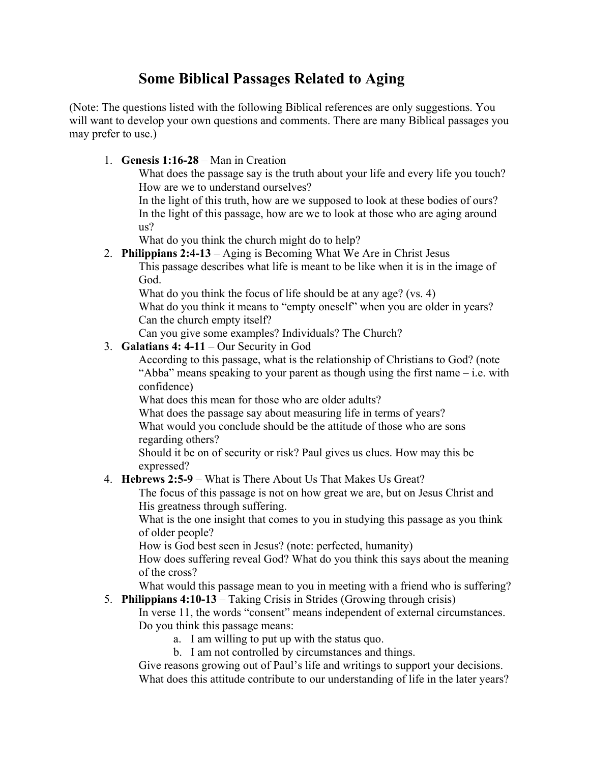# **Some Biblical Passages Related to Aging**

(Note: The questions listed with the following Biblical references are only suggestions. You will want to develop your own questions and comments. There are many Biblical passages you may prefer to use.)

1. **Genesis 1:16-28** – Man in Creation

What does the passage say is the truth about your life and every life you touch? How are we to understand ourselves?

In the light of this truth, how are we supposed to look at these bodies of ours? In the light of this passage, how are we to look at those who are aging around us?

What do you think the church might do to help?

2. **Philippians 2:4-13** – Aging is Becoming What We Are in Christ Jesus

This passage describes what life is meant to be like when it is in the image of God.

What do you think the focus of life should be at any age? (vs. 4)

What do you think it means to "empty oneself" when you are older in years? Can the church empty itself?

Can you give some examples? Individuals? The Church?

## 3. **Galatians 4: 4-11** – Our Security in God

According to this passage, what is the relationship of Christians to God? (note "Abba" means speaking to your parent as though using the first name – i.e. with confidence)

What does this mean for those who are older adults?

What does the passage say about measuring life in terms of years? What would you conclude should be the attitude of those who are sons regarding others?

Should it be on of security or risk? Paul gives us clues. How may this be expressed?

# 4. **Hebrews 2:5-9** – What is There About Us That Makes Us Great?

The focus of this passage is not on how great we are, but on Jesus Christ and His greatness through suffering.

What is the one insight that comes to you in studying this passage as you think of older people?

How is God best seen in Jesus? (note: perfected, humanity)

How does suffering reveal God? What do you think this says about the meaning of the cross?

What would this passage mean to you in meeting with a friend who is suffering?

5. **Philippians 4:10-13** – Taking Crisis in Strides (Growing through crisis)

In verse 11, the words "consent" means independent of external circumstances. Do you think this passage means:

- a. I am willing to put up with the status quo.
- b. I am not controlled by circumstances and things.

Give reasons growing out of Paul's life and writings to support your decisions. What does this attitude contribute to our understanding of life in the later years?